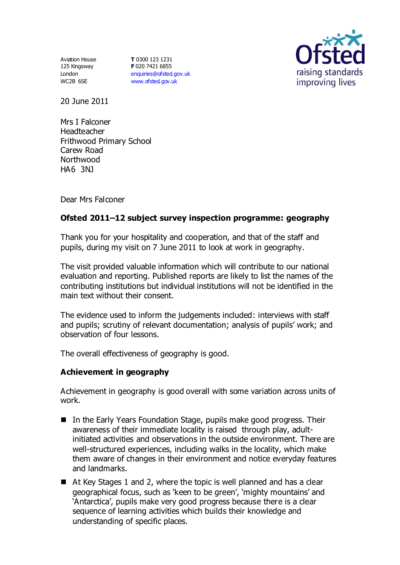Aviation House 125 Kingsway London WC2B 6SE

**T** 0300 123 1231 **F** 020 7421 6855 [enquiries@ofsted.gov.uk](mailto:enquiries@ofsted.gov.uk) [www.ofsted.gov.uk](http://www.ofsted.gov.uk/)



20 June 2011

Mrs I Falconer Headteacher Frithwood Primary School Carew Road Northwood HA6 3NJ

Dear Mrs Falconer

# **Ofsted 2011–12 subject survey inspection programme: geography**

Thank you for your hospitality and cooperation, and that of the staff and pupils, during my visit on 7 June 2011 to look at work in geography.

The visit provided valuable information which will contribute to our national evaluation and reporting. Published reports are likely to list the names of the contributing institutions but individual institutions will not be identified in the main text without their consent.

The evidence used to inform the judgements included: interviews with staff and pupils; scrutiny of relevant documentation; analysis of pupils' work; and observation of four lessons.

The overall effectiveness of geography is good.

#### **Achievement in geography**

Achievement in geography is good overall with some variation across units of work.

- In the Early Years Foundation Stage, pupils make good progress. Their awareness of their immediate locality is raised through play, adultinitiated activities and observations in the outside environment. There are well-structured experiences, including walks in the locality, which make them aware of changes in their environment and notice everyday features and landmarks.
- At Key Stages 1 and 2, where the topic is well planned and has a clear geographical focus, such as 'keen to be green', 'mighty mountains' and 'Antarctica', pupils make very good progress because there is a clear sequence of learning activities which builds their knowledge and understanding of specific places.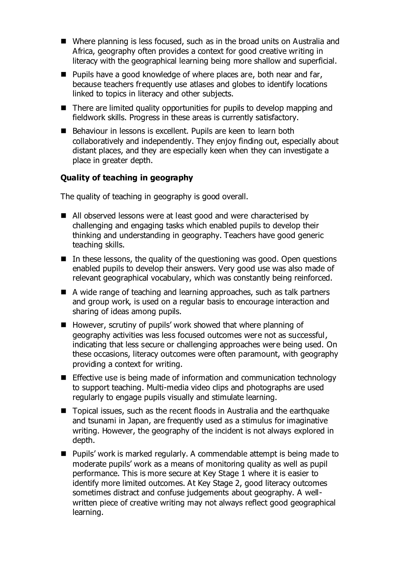- Where planning is less focused, such as in the broad units on Australia and Africa, geography often provides a context for good creative writing in literacy with the geographical learning being more shallow and superficial.
- Pupils have a good knowledge of where places are, both near and far, because teachers frequently use atlases and globes to identify locations linked to topics in literacy and other subjects.
- There are limited quality opportunities for pupils to develop mapping and fieldwork skills. Progress in these areas is currently satisfactory.
- Behaviour in lessons is excellent. Pupils are keen to learn both collaboratively and independently. They enjoy finding out, especially about distant places, and they are especially keen when they can investigate a place in greater depth.

#### **Quality of teaching in geography**

The quality of teaching in geography is good overall.

- All observed lessons were at least good and were characterised by challenging and engaging tasks which enabled pupils to develop their thinking and understanding in geography. Teachers have good generic teaching skills.
- $\blacksquare$  In these lessons, the quality of the questioning was good. Open questions enabled pupils to develop their answers. Very good use was also made of relevant geographical vocabulary, which was constantly being reinforced.
- A wide range of teaching and learning approaches, such as talk partners and group work, is used on a regular basis to encourage interaction and sharing of ideas among pupils.
- However, scrutiny of pupils' work showed that where planning of geography activities was less focused outcomes were not as successful, indicating that less secure or challenging approaches were being used. On these occasions, literacy outcomes were often paramount, with geography providing a context for writing.
- **Effective use is being made of information and communication technology** to support teaching. Multi-media video clips and photographs are used regularly to engage pupils visually and stimulate learning.
- Topical issues, such as the recent floods in Australia and the earthquake and tsunami in Japan, are frequently used as a stimulus for imaginative writing. However, the geography of the incident is not always explored in depth.
- Pupils' work is marked regularly. A commendable attempt is being made to moderate pupils' work as a means of monitoring quality as well as pupil performance. This is more secure at Key Stage 1 where it is easier to identify more limited outcomes. At Key Stage 2, good literacy outcomes sometimes distract and confuse judgements about geography. A wellwritten piece of creative writing may not always reflect good geographical learning.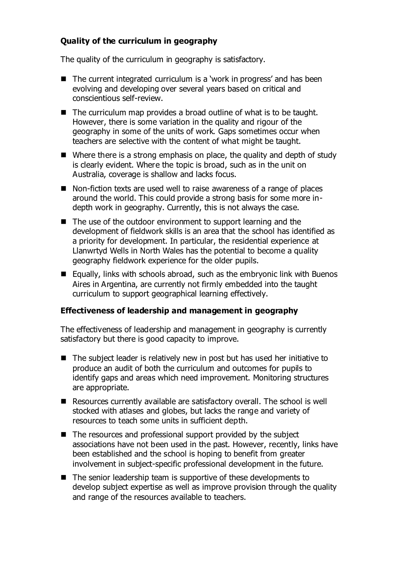# **Quality of the curriculum in geography**

The quality of the curriculum in geography is satisfactory.

- The current integrated curriculum is a 'work in progress' and has been evolving and developing over several years based on critical and conscientious self-review.
- The curriculum map provides a broad outline of what is to be taught. However, there is some variation in the quality and rigour of the geography in some of the units of work. Gaps sometimes occur when teachers are selective with the content of what might be taught.
- Where there is a strong emphasis on place, the quality and depth of study is clearly evident. Where the topic is broad, such as in the unit on Australia, coverage is shallow and lacks focus.
- Non-fiction texts are used well to raise awareness of a range of places around the world. This could provide a strong basis for some more indepth work in geography. Currently, this is not always the case.
- The use of the outdoor environment to support learning and the development of fieldwork skills is an area that the school has identified as a priority for development. In particular, the residential experience at Llanwrtyd Wells in North Wales has the potential to become a quality geography fieldwork experience for the older pupils.
- Equally, links with schools abroad, such as the embryonic link with Buenos Aires in Argentina, are currently not firmly embedded into the taught curriculum to support geographical learning effectively.

# **Effectiveness of leadership and management in geography**

The effectiveness of leadership and management in geography is currently satisfactory but there is good capacity to improve.

- The subject leader is relatively new in post but has used her initiative to produce an audit of both the curriculum and outcomes for pupils to identify gaps and areas which need improvement. Monitoring structures are appropriate.
- Resources currently available are satisfactory overall. The school is well stocked with atlases and globes, but lacks the range and variety of resources to teach some units in sufficient depth.
- The resources and professional support provided by the subject associations have not been used in the past. However, recently, links have been established and the school is hoping to benefit from greater involvement in subject-specific professional development in the future.
- The senior leadership team is supportive of these developments to develop subject expertise as well as improve provision through the quality and range of the resources available to teachers.